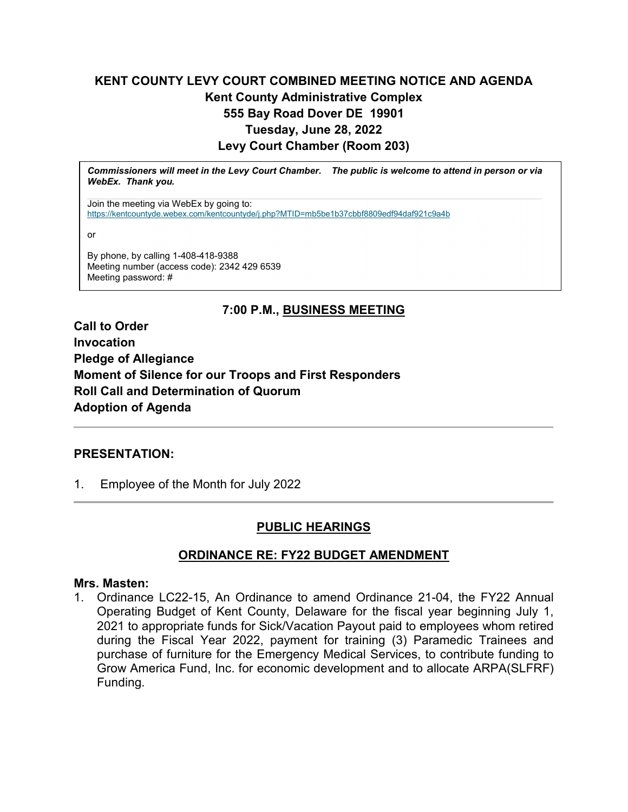# **KENT COUNTY LEVY COURT COMBINED MEETING NOTICE AND AGENDA Kent County Administrative Complex 555 Bay Road Dover DE 19901 Tuesday, June 28, 2022 Levy Court Chamber (Room 203)**

*Commissioners will meet in the Levy Court Chamber. The public is welcome to attend in person or via WebEx. Thank you.*

Join the meeting via WebEx by going to: <https://kentcountyde.webex.com/kentcountyde/j.php?MTID=mb5be1b37cbbf8809edf94daf921c9a4b>

or

By phone, by calling 1-408-418-9388 Meeting number (access code): 2342 429 6539 Meeting password: #

# **7:00 P.M., BUSINESS MEETING**

**Call to Order Invocation Pledge of Allegiance Moment of Silence for our Troops and First Responders Roll Call and Determination of Quorum Adoption of Agenda**

## **PRESENTATION:**

1. Employee of the Month for July 2022

# **PUBLIC HEARINGS**

# **ORDINANCE RE: FY22 BUDGET AMENDMENT**

### **Mrs. Masten:**

1. Ordinance LC22-15, An Ordinance to amend Ordinance 21-04, the FY22 Annual Operating Budget of Kent County, Delaware for the fiscal year beginning July 1, 2021 to appropriate funds for Sick/Vacation Payout paid to employees whom retired during the Fiscal Year 2022, payment for training (3) Paramedic Trainees and purchase of furniture for the Emergency Medical Services, to contribute funding to Grow America Fund, Inc. for economic development and to allocate ARPA(SLFRF) Funding.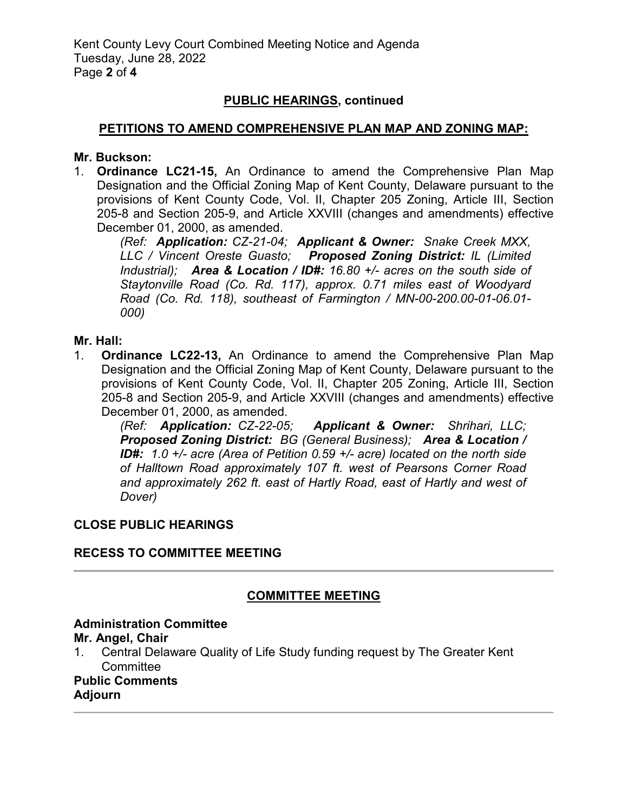## **PUBLIC HEARINGS, continued**

### **PETITIONS TO AMEND COMPREHENSIVE PLAN MAP AND ZONING MAP:**

### **Mr. Buckson:**

1. **Ordinance LC21-15,** An Ordinance to amend the Comprehensive Plan Map Designation and the Official Zoning Map of Kent County, Delaware pursuant to the provisions of Kent County Code, Vol. II, Chapter 205 Zoning, Article III, Section 205-8 and Section 205-9, and Article XXVIII (changes and amendments) effective December 01, 2000, as amended.

*(Ref: Application: CZ-21-04; Applicant & Owner: Snake Creek MXX, LLC / Vincent Oreste Guasto; Proposed Zoning District: IL (Limited Industrial); Area & Location / ID#: 16.80 +/- acres on the south side of Staytonville Road (Co. Rd. 117), approx. 0.71 miles east of Woodyard Road (Co. Rd. 118), southeast of Farmington / MN-00-200.00-01-06.01- 000)*

## **Mr. Hall:**

1. **Ordinance LC22-13,** An Ordinance to amend the Comprehensive Plan Map Designation and the Official Zoning Map of Kent County, Delaware pursuant to the provisions of Kent County Code, Vol. II, Chapter 205 Zoning, Article III, Section 205-8 and Section 205-9, and Article XXVIII (changes and amendments) effective December 01, 2000, as amended.

*(Ref: Application: CZ-22-05; Applicant & Owner: Shrihari, LLC; Proposed Zoning District: BG (General Business); Area & Location / ID#: 1.0 +/- acre (Area of Petition 0.59 +/- acre) located on the north side of Halltown Road approximately 107 ft. west of Pearsons Corner Road and approximately 262 ft. east of Hartly Road, east of Hartly and west of Dover)*

## **CLOSE PUBLIC HEARINGS**

## **RECESS TO COMMITTEE MEETING**

## **COMMITTEE MEETING**

## **Administration Committee**

### **Mr. Angel, Chair**

1. Central Delaware Quality of Life Study funding request by The Greater Kent **Committee** 

# **Public Comments**

**Adjourn**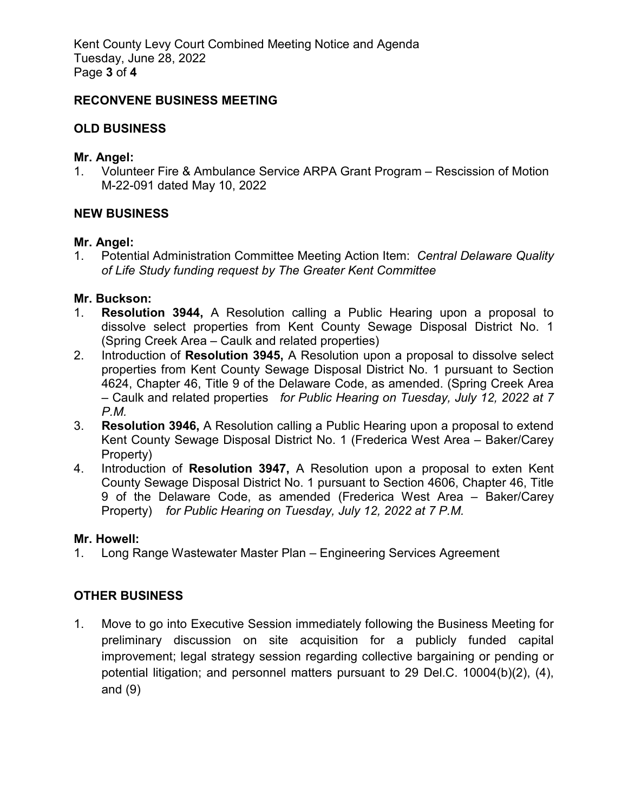Kent County Levy Court Combined Meeting Notice and Agenda Tuesday, June 28, 2022 Page **3** of **4**

### **RECONVENE BUSINESS MEETING**

## **OLD BUSINESS**

### **Mr. Angel:**

1. Volunteer Fire & Ambulance Service ARPA Grant Program – Rescission of Motion M-22-091 dated May 10, 2022

## **NEW BUSINESS**

### **Mr. Angel:**

1. Potential Administration Committee Meeting Action Item: *Central Delaware Quality of Life Study funding request by The Greater Kent Committee*

## **Mr. Buckson:**

- 1. **Resolution 3944,** A Resolution calling a Public Hearing upon a proposal to dissolve select properties from Kent County Sewage Disposal District No. 1 (Spring Creek Area – Caulk and related properties)
- 2. Introduction of **Resolution 3945,** A Resolution upon a proposal to dissolve select properties from Kent County Sewage Disposal District No. 1 pursuant to Section 4624, Chapter 46, Title 9 of the Delaware Code, as amended. (Spring Creek Area – Caulk and related properties *for Public Hearing on Tuesday, July 12, 2022 at 7 P.M.*
- 3. **Resolution 3946,** A Resolution calling a Public Hearing upon a proposal to extend Kent County Sewage Disposal District No. 1 (Frederica West Area – Baker/Carey Property)
- 4. Introduction of **Resolution 3947,** A Resolution upon a proposal to exten Kent County Sewage Disposal District No. 1 pursuant to Section 4606, Chapter 46, Title 9 of the Delaware Code, as amended (Frederica West Area – Baker/Carey Property) *for Public Hearing on Tuesday, July 12, 2022 at 7 P.M.*

### **Mr. Howell:**

1. Long Range Wastewater Master Plan – Engineering Services Agreement

# **OTHER BUSINESS**

1. Move to go into Executive Session immediately following the Business Meeting for preliminary discussion on site acquisition for a publicly funded capital improvement; legal strategy session regarding collective bargaining or pending or potential litigation; and personnel matters pursuant to 29 Del.C. 10004(b)(2), (4), and (9)